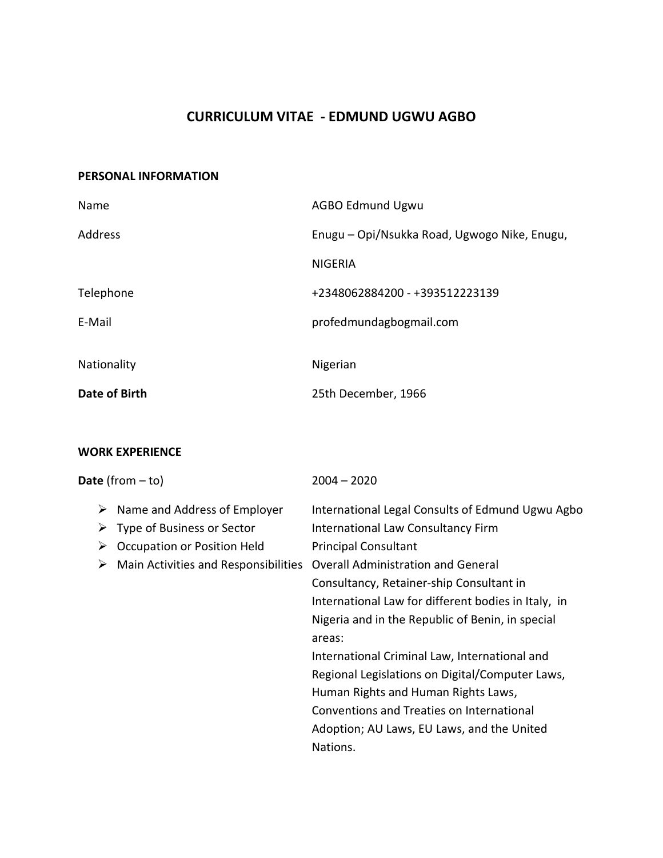# **CURRICULUM VITAE - EDMUND UGWU AGBO**

## **PERSONAL INFORMATION**

| Name          | <b>AGBO Edmund Ugwu</b>                      |
|---------------|----------------------------------------------|
| Address       | Enugu - Opi/Nsukka Road, Ugwogo Nike, Enugu, |
|               | <b>NIGERIA</b>                               |
| Telephone     | +2348062884200 - +393512223139               |
| E-Mail        | profedmundagbogmail.com                      |
|               |                                              |
| Nationality   | Nigerian                                     |
| Date of Birth | 25th December, 1966                          |

# **WORK EXPERIENCE**

| Date (from $-$ to)                                                                                                                               | $2004 - 2020$                                                                                                                                                                                                                                                                                                                                                                                                                                                                                                                                                                                |
|--------------------------------------------------------------------------------------------------------------------------------------------------|----------------------------------------------------------------------------------------------------------------------------------------------------------------------------------------------------------------------------------------------------------------------------------------------------------------------------------------------------------------------------------------------------------------------------------------------------------------------------------------------------------------------------------------------------------------------------------------------|
| Name and Address of Employer<br>➤<br>Type of Business or Sector<br>➤<br>Occupation or Position Held<br>➤<br>Main Activities and Responsibilities | International Legal Consults of Edmund Ugwu Agbo<br><b>International Law Consultancy Firm</b><br><b>Principal Consultant</b><br><b>Overall Administration and General</b><br>Consultancy, Retainer-ship Consultant in<br>International Law for different bodies in Italy, in<br>Nigeria and in the Republic of Benin, in special<br>areas:<br>International Criminal Law, International and<br>Regional Legislations on Digital/Computer Laws,<br>Human Rights and Human Rights Laws,<br>Conventions and Treaties on International<br>Adoption; AU Laws, EU Laws, and the United<br>Nations. |
|                                                                                                                                                  |                                                                                                                                                                                                                                                                                                                                                                                                                                                                                                                                                                                              |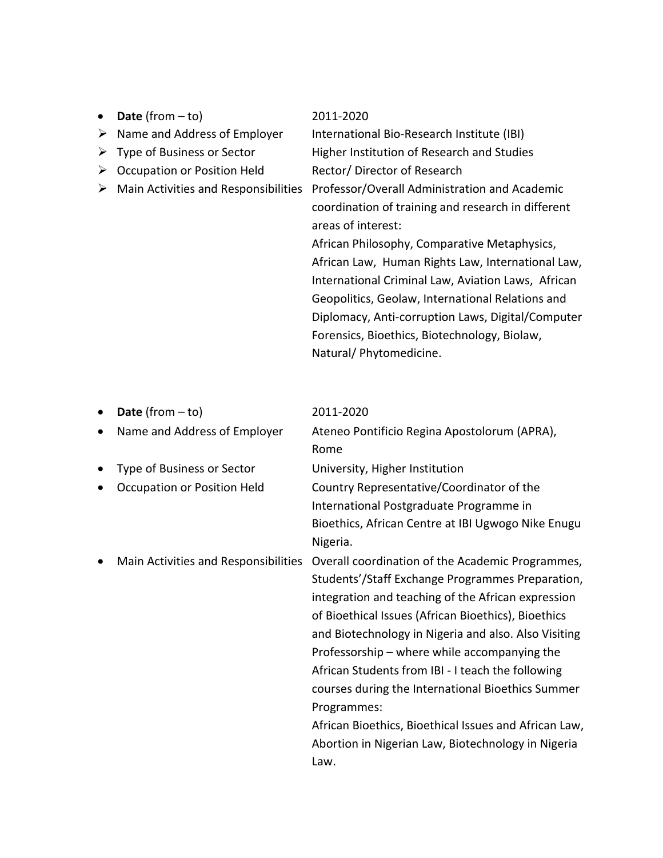|   | <b>Date</b> (from $-$ to)            | 2011-2020                                                                                                                                                                                                                                                                                                                                                                                                                                                               |
|---|--------------------------------------|-------------------------------------------------------------------------------------------------------------------------------------------------------------------------------------------------------------------------------------------------------------------------------------------------------------------------------------------------------------------------------------------------------------------------------------------------------------------------|
| ➤ | Name and Address of Employer         | International Bio-Research Institute (IBI)                                                                                                                                                                                                                                                                                                                                                                                                                              |
|   | Type of Business or Sector           | Higher Institution of Research and Studies                                                                                                                                                                                                                                                                                                                                                                                                                              |
| ➤ | Occupation or Position Held          | Rector/Director of Research                                                                                                                                                                                                                                                                                                                                                                                                                                             |
|   | Main Activities and Responsibilities | Professor/Overall Administration and Academic<br>coordination of training and research in different<br>areas of interest:<br>African Philosophy, Comparative Metaphysics,<br>African Law, Human Rights Law, International Law,<br>International Criminal Law, Aviation Laws, African<br>Geopolitics, Geolaw, International Relations and<br>Diplomacy, Anti-corruption Laws, Digital/Computer<br>Forensics, Bioethics, Biotechnology, Biolaw,<br>Natural/Phytomedicine. |

| $\bullet$ | <b>Date</b> (from $-$ to)            | 2011-2020                                             |
|-----------|--------------------------------------|-------------------------------------------------------|
| $\bullet$ | Name and Address of Employer         | Ateneo Pontificio Regina Apostolorum (APRA),          |
|           |                                      | Rome                                                  |
| $\bullet$ | Type of Business or Sector           | University, Higher Institution                        |
|           | Occupation or Position Held          | Country Representative/Coordinator of the             |
|           |                                      | International Postgraduate Programme in               |
|           |                                      | Bioethics, African Centre at IBI Ugwogo Nike Enugu    |
|           |                                      | Nigeria.                                              |
|           | Main Activities and Responsibilities | Overall coordination of the Academic Programmes,      |
|           |                                      | Students'/Staff Exchange Programmes Preparation,      |
|           |                                      | integration and teaching of the African expression    |
|           |                                      | of Bioethical Issues (African Bioethics), Bioethics   |
|           |                                      | and Biotechnology in Nigeria and also. Also Visiting  |
|           |                                      | Professorship – where while accompanying the          |
|           |                                      | African Students from IBI - I teach the following     |
|           |                                      | courses during the International Bioethics Summer     |
|           |                                      | Programmes:                                           |
|           |                                      | African Bioethics, Bioethical Issues and African Law, |
|           |                                      | Abortion in Nigerian Law, Biotechnology in Nigeria    |
|           |                                      | Law.                                                  |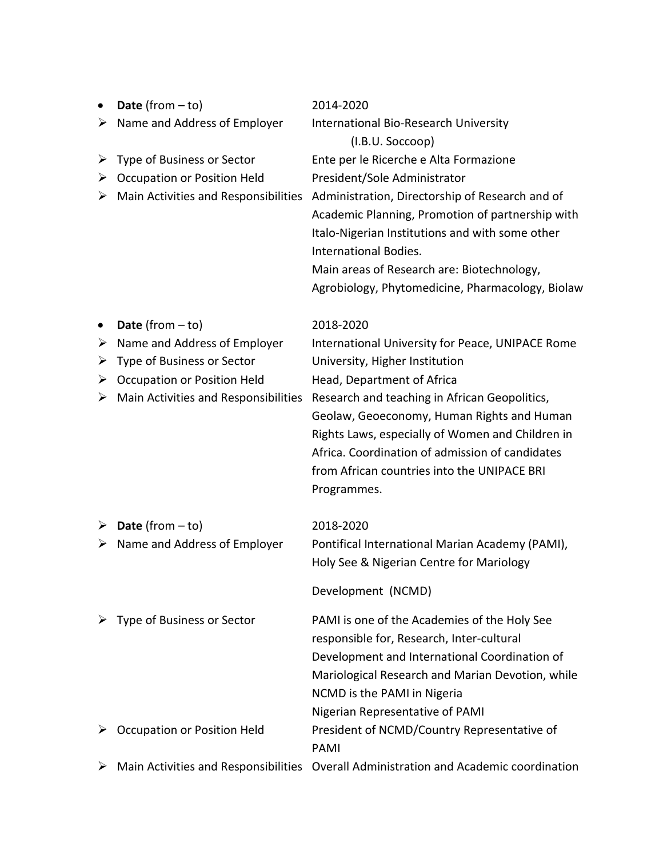|   | Date (from $-$ to)                   | 2014-2020                                                                                                                                                                                                                                                                         |
|---|--------------------------------------|-----------------------------------------------------------------------------------------------------------------------------------------------------------------------------------------------------------------------------------------------------------------------------------|
| ➤ | Name and Address of Employer         | International Bio-Research University                                                                                                                                                                                                                                             |
|   |                                      | (I.B.U. Soccoop)                                                                                                                                                                                                                                                                  |
| ➤ | Type of Business or Sector           | Ente per le Ricerche e Alta Formazione                                                                                                                                                                                                                                            |
| ➤ | <b>Occupation or Position Held</b>   | President/Sole Administrator                                                                                                                                                                                                                                                      |
|   | Main Activities and Responsibilities | Administration, Directorship of Research and of<br>Academic Planning, Promotion of partnership with<br>Italo-Nigerian Institutions and with some other<br>International Bodies.<br>Main areas of Research are: Biotechnology,<br>Agrobiology, Phytomedicine, Pharmacology, Biolaw |
|   | <b>Date</b> (from $-$ to)            | 2018-2020                                                                                                                                                                                                                                                                         |
| ➤ | Name and Address of Employer         | International University for Peace, UNIPACE Rome                                                                                                                                                                                                                                  |
| ➤ | Type of Business or Sector           | University, Higher Institution                                                                                                                                                                                                                                                    |
| ➤ | <b>Occupation or Position Held</b>   | Head, Department of Africa                                                                                                                                                                                                                                                        |
| ➤ | Main Activities and Responsibilities | Research and teaching in African Geopolitics,                                                                                                                                                                                                                                     |
|   |                                      | Geolaw, Geoeconomy, Human Rights and Human                                                                                                                                                                                                                                        |
|   |                                      | Rights Laws, especially of Women and Children in<br>Africa. Coordination of admission of candidates                                                                                                                                                                               |
|   |                                      | from African countries into the UNIPACE BRI                                                                                                                                                                                                                                       |
|   |                                      | Programmes.                                                                                                                                                                                                                                                                       |
|   |                                      |                                                                                                                                                                                                                                                                                   |
| ➤ | <b>Date</b> (from $-$ to)            | 2018-2020                                                                                                                                                                                                                                                                         |
| ➤ | Name and Address of Employer         | Pontifical International Marian Academy (PAMI),                                                                                                                                                                                                                                   |
|   |                                      | Holy See & Nigerian Centre for Mariology                                                                                                                                                                                                                                          |
|   |                                      | Development (NCMD)                                                                                                                                                                                                                                                                |
|   | Type of Business or Sector           | PAMI is one of the Academies of the Holy See                                                                                                                                                                                                                                      |
|   |                                      | responsible for, Research, Inter-cultural                                                                                                                                                                                                                                         |
|   |                                      | Development and International Coordination of                                                                                                                                                                                                                                     |
|   |                                      | Mariological Research and Marian Devotion, while                                                                                                                                                                                                                                  |
|   |                                      | NCMD is the PAMI in Nigeria                                                                                                                                                                                                                                                       |
|   |                                      | Nigerian Representative of PAMI                                                                                                                                                                                                                                                   |
|   | <b>Occupation or Position Held</b>   | President of NCMD/Country Representative of                                                                                                                                                                                                                                       |
|   |                                      | PAMI                                                                                                                                                                                                                                                                              |
| ➤ |                                      | Main Activities and Responsibilities Overall Administration and Academic coordination                                                                                                                                                                                             |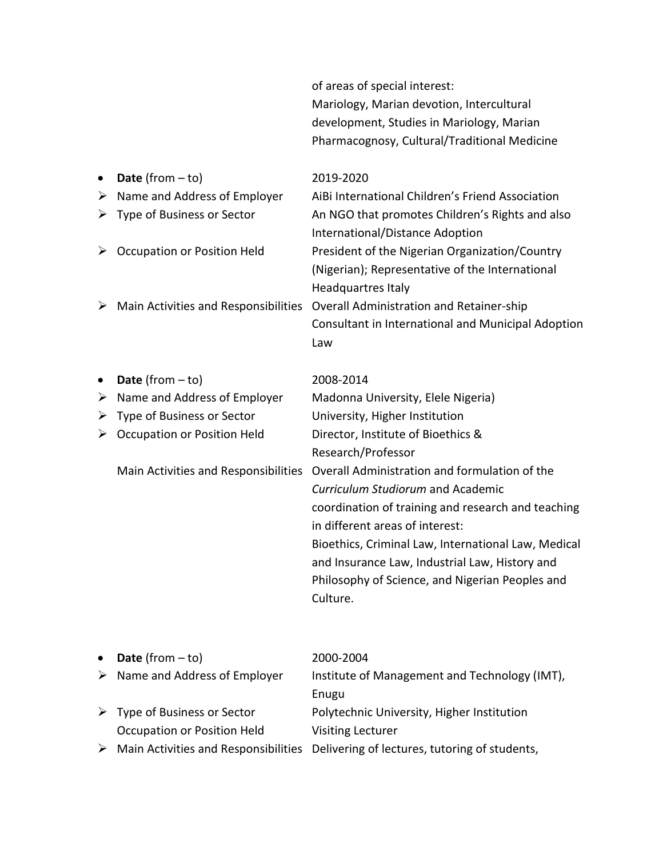| of areas of special interest:                |
|----------------------------------------------|
| Mariology, Marian devotion, Intercultural    |
| development, Studies in Mariology, Marian    |
| Pharmacognosy, Cultural/Traditional Medicine |
|                                              |

|   | Date (from $-$ to)                   | 2019-2020                                                                                                                      |
|---|--------------------------------------|--------------------------------------------------------------------------------------------------------------------------------|
| ➤ | Name and Address of Employer         | AiBi International Children's Friend Association                                                                               |
| ➤ | Type of Business or Sector           | An NGO that promotes Children's Rights and also<br>International/Distance Adoption                                             |
| ➤ | <b>Occupation or Position Held</b>   | President of the Nigerian Organization/Country<br>(Nigerian); Representative of the International<br><b>Headquartres Italy</b> |
| ➤ | Main Activities and Responsibilities | <b>Overall Administration and Retainer-ship</b>                                                                                |
|   |                                      | Consultant in International and Municipal Adoption                                                                             |
|   |                                      | Law                                                                                                                            |
|   | <b>Date</b> (from $-$ to)            | 2008-2014                                                                                                                      |
| ➤ | Name and Address of Employer         | Madonna University, Elele Nigeria)                                                                                             |
| ➤ | Type of Business or Sector           | University, Higher Institution                                                                                                 |
| ➤ | <b>Occupation or Position Held</b>   | Director, Institute of Bioethics &                                                                                             |
|   |                                      | Research/Professor                                                                                                             |
|   | Main Activities and Responsibilities | Overall Administration and formulation of the                                                                                  |
|   |                                      | Curriculum Studiorum and Academic                                                                                              |
|   |                                      | coordination of training and research and teaching<br>in different areas of interest:                                          |
|   |                                      | Bioethics, Criminal Law, International Law, Medical<br>and Insurance Law, Industrial Law, History and                          |
|   |                                      | Philosophy of Science, and Nigerian Peoples and                                                                                |
|   |                                      | Culture.                                                                                                                       |
|   |                                      |                                                                                                                                |

| • Date (from $-$ to)                          | 2000-2004                                                                                           |
|-----------------------------------------------|-----------------------------------------------------------------------------------------------------|
| $\triangleright$ Name and Address of Employer | Institute of Management and Technology (IMT),                                                       |
|                                               | Enugu                                                                                               |
| $\triangleright$ Type of Business or Sector   | Polytechnic University, Higher Institution                                                          |
| Occupation or Position Held                   | <b>Visiting Lecturer</b>                                                                            |
|                                               | $\triangleright$ Main Activities and Responsibilities Delivering of lectures, tutoring of students, |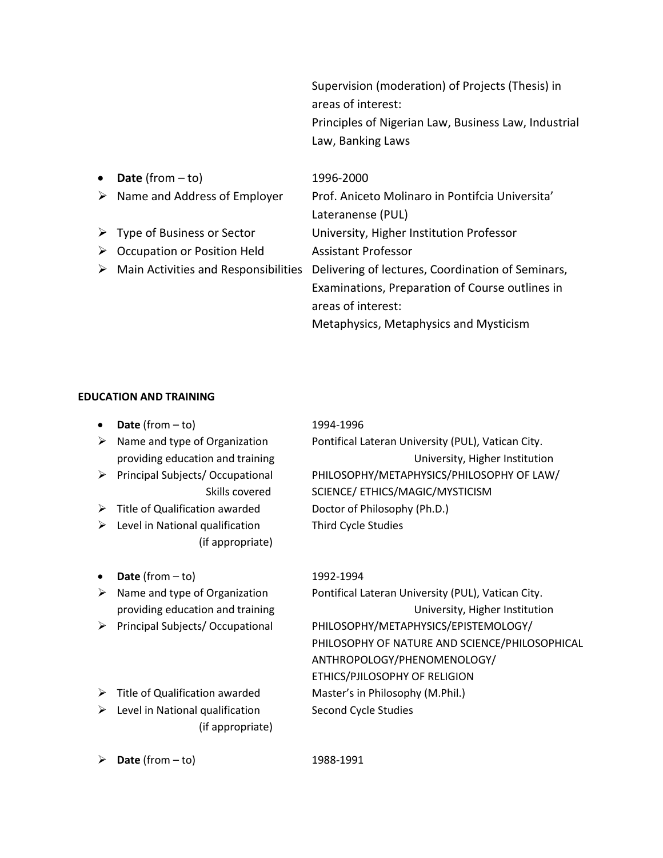Supervision (moderation) of Projects (Thesis) in areas of interest: Principles of Nigerian Law, Business Law, Industrial Law, Banking Laws

| $\bullet$ | <b>Date</b> (from $-$ to)                             | 1996-2000                                         |
|-----------|-------------------------------------------------------|---------------------------------------------------|
|           | $\triangleright$ Name and Address of Employer         | Prof. Aniceto Molinaro in Pontifcia Universita'   |
|           |                                                       | Lateranense (PUL)                                 |
|           | $\triangleright$ Type of Business or Sector           | University, Higher Institution Professor          |
| ➤         | Occupation or Position Held                           | <b>Assistant Professor</b>                        |
|           | $\triangleright$ Main Activities and Responsibilities | Delivering of lectures, Coordination of Seminars, |
|           |                                                       | Examinations, Preparation of Course outlines in   |
|           |                                                       | areas of interest:                                |
|           |                                                       | Metaphysics, Metaphysics and Mysticism            |
|           |                                                       |                                                   |

### **EDUCATION AND TRAINING**

- **Date** (from to) 1994-1996
- 
- 
- ➢ Title of Qualification awarded Doctor of Philosophy (Ph.D.)
- ➢ Level in National qualification Third Cycle Studies (if appropriate)
- **Date** (from to) 1992-1994
- 
- 
- ➢ Title of Qualification awarded Master's in Philosophy (M.Phil.)
- ➢ Level in National qualification Second Cycle Studies (if appropriate)

➢ Name and type of Organization Pontifical Lateran University (PUL), Vatican City. providing education and training Theorem Controller Christopher Institution ➢ Principal Subjects/ Occupational PHILOSOPHY/METAPHYSICS/PHILOSOPHY OF LAW/ Skills covered SCIENCE/ ETHICS/MAGIC/MYSTICISM

➢ Name and type of Organization Pontifical Lateran University (PUL), Vatican City. providing education and training University, Higher Institution ➢ Principal Subjects/ Occupational PHILOSOPHY/METAPHYSICS/EPISTEMOLOGY/ PHILOSOPHY OF NATURE AND SCIENCE/PHILOSOPHICAL ANTHROPOLOGY/PHENOMENOLOGY/ ETHICS/PJILOSOPHY OF RELIGION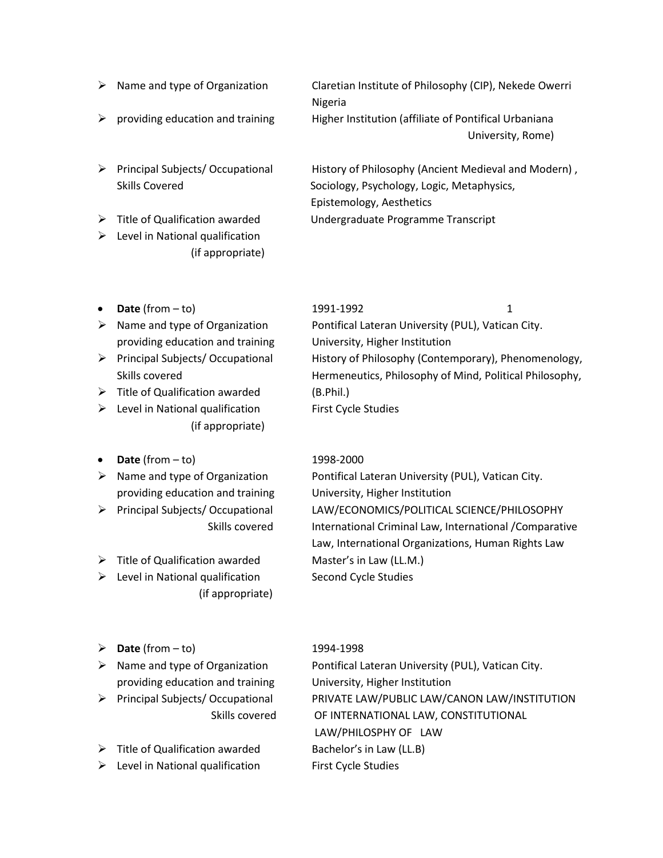- 
- 
- 

 $\triangleright$  Level in National qualification (if appropriate)

➢ Name and type of Organization Claretian Institute of Philosophy (CIP), Nekede Owerri Nigeria  $\triangleright$  providing education and training Higher Institution (affiliate of Pontifical Urbaniana University, Rome)

➢ Principal Subjects/ Occupational History of Philosophy (Ancient Medieval and Modern) , Skills Covered Sociology, Psychology, Logic, Metaphysics, Epistemology, Aesthetics ➢ Title of Qualification awarded Undergraduate Programme Transcript

- 
- providing education and training University, Higher Institution
- 
- $\triangleright$  Title of Qualification awarded (B.Phil.)
- $\triangleright$  Level in National qualification First Cycle Studies (if appropriate)
- **Date** (from to) 1998-2000
- providing education and training University, Higher Institution
- 
- ➢ Title of Qualification awarded Master's in Law (LL.M.)
- ➢ Level in National qualification Second Cycle Studies (if appropriate)
- ➢ **Date** (from to) 1994-1998
- providing education and training University, Higher Institution
- 
- $\triangleright$  Title of Qualification awarded Bachelor's in Law (LL.B)
- ➢ Level in National qualification First Cycle Studies

# • **Date** (from – to) 1991-1992 1 ➢ Name and type of Organization Pontifical Lateran University (PUL), Vatican City. ➢ Principal Subjects/ Occupational History of Philosophy (Contemporary), Phenomenology, Skills covered **Hermeneutics**, Philosophy of Mind, Political Philosophy,

➢ Name and type of Organization Pontifical Lateran University (PUL), Vatican City. ➢ Principal Subjects/ Occupational LAW/ECONOMICS/POLITICAL SCIENCE/PHILOSOPHY Skills covered **International Criminal Law, International /Comparative** Law, International Organizations, Human Rights Law

➢ Name and type of Organization Pontifical Lateran University (PUL), Vatican City. ➢ Principal Subjects/ Occupational PRIVATE LAW/PUBLIC LAW/CANON LAW/INSTITUTION Skills covered OF INTERNATIONAL LAW, CONSTITUTIONAL LAW/PHILOSPHY OF LAW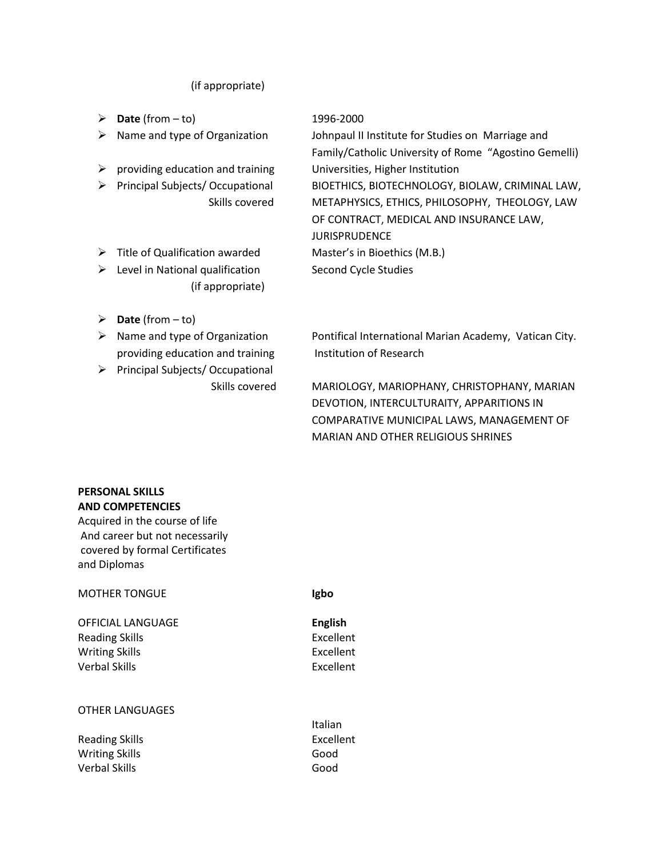### (if appropriate)

- ➢ **Date** (from to) 1996-2000
- 
- ➢ providing education and training Universities, Higher Institution
- 
- ➢ Title of Qualification awarded Master's in Bioethics (M.B.)
- ➢ Level in National qualification Second Cycle Studies (if appropriate)
- ➢ **Date** (from to)
- providing education and training Institution of Research
- ➢ Principal Subjects/ Occupational

➢ Name and type of Organization Johnpaul II Institute for Studies on Marriage and Family/Catholic University of Rome "Agostino Gemelli) ➢ Principal Subjects/ Occupational BIOETHICS, BIOTECHNOLOGY, BIOLAW, CRIMINAL LAW, Skills covered METAPHYSICS, ETHICS, PHILOSOPHY, THEOLOGY, LAW OF CONTRACT, MEDICAL AND INSURANCE LAW, JURISPRUDENCE

➢ Name and type of Organization Pontifical International Marian Academy, Vatican City.

 Skills covered MARIOLOGY, MARIOPHANY, CHRISTOPHANY, MARIAN DEVOTION, INTERCULTURAITY, APPARITIONS IN COMPARATIVE MUNICIPAL LAWS, MANAGEMENT OF MARIAN AND OTHER RELIGIOUS SHRINES

#### **PERSONAL SKILLS AND COMPETENCIES**

Acquired in the course of life And career but not necessarily covered by formal Certificates and Diplomas

#### MOTHER TONGUE **Igbo**

OFFICIAL LANGUAGE **English** Reading Skills **Excellent** Writing Skills **Excellent** Verbal Skills **Excellent** 

#### OTHER LANGUAGES

Reading Skills **Excellent** Writing Skills Good Verbal Skills Good

Italian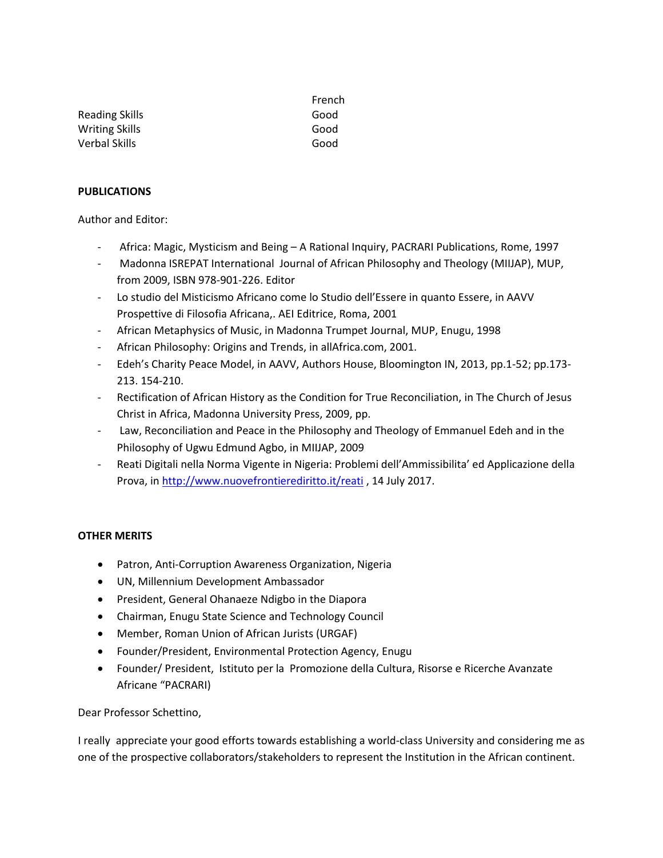|                       | French |
|-----------------------|--------|
| Reading Skills        | Good   |
| <b>Writing Skills</b> | Good   |
| Verbal Skills         | Good   |

#### **PUBLICATIONS**

Author and Editor:

- Africa: Magic, Mysticism and Being A Rational Inquiry, PACRARI Publications, Rome, 1997
- Madonna ISREPAT International Journal of African Philosophy and Theology (MIIJAP), MUP, from 2009, ISBN 978-901-226. Editor
- Lo studio del Misticismo Africano come lo Studio dell'Essere in quanto Essere, in AAVV Prospettive di Filosofia Africana,. AEI Editrice, Roma, 2001
- African Metaphysics of Music, in Madonna Trumpet Journal, MUP, Enugu, 1998
- African Philosophy: Origins and Trends, in allAfrica.com, 2001.
- Edeh's Charity Peace Model, in AAVV, Authors House, Bloomington IN, 2013, pp.1-52; pp.173- 213. 154-210.
- Rectification of African History as the Condition for True Reconciliation, in The Church of Jesus Christ in Africa, Madonna University Press, 2009, pp.
- Law, Reconciliation and Peace in the Philosophy and Theology of Emmanuel Edeh and in the Philosophy of Ugwu Edmund Agbo, in MIIJAP, 2009
- Reati Digitali nella Norma Vigente in Nigeria: Problemi dell'Ammissibilita' ed Applicazione della Prova, i[n http://www.nuovefrontierediritto.it/reati](http://www.nuovefrontierediritto.it/reati), 14 July 2017.

### **OTHER MERITS**

- Patron, Anti-Corruption Awareness Organization, Nigeria
- UN, Millennium Development Ambassador
- President, General Ohanaeze Ndigbo in the Diapora
- Chairman, Enugu State Science and Technology Council
- Member, Roman Union of African Jurists (URGAF)
- Founder/President, Environmental Protection Agency, Enugu
- Founder/ President, Istituto per la Promozione della Cultura, Risorse e Ricerche Avanzate Africane "PACRARI)

#### Dear Professor Schettino,

I really appreciate your good efforts towards establishing a world-class University and considering me as one of the prospective collaborators/stakeholders to represent the Institution in the African continent.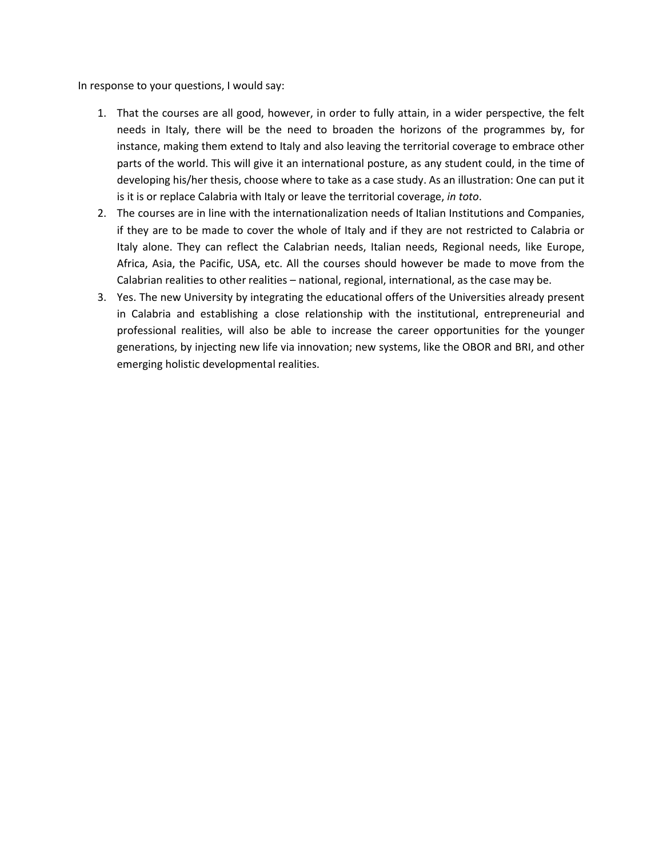In response to your questions, I would say:

- 1. That the courses are all good, however, in order to fully attain, in a wider perspective, the felt needs in Italy, there will be the need to broaden the horizons of the programmes by, for instance, making them extend to Italy and also leaving the territorial coverage to embrace other parts of the world. This will give it an international posture, as any student could, in the time of developing his/her thesis, choose where to take as a case study. As an illustration: One can put it is it is or replace Calabria with Italy or leave the territorial coverage, *in toto*.
- 2. The courses are in line with the internationalization needs of Italian Institutions and Companies, if they are to be made to cover the whole of Italy and if they are not restricted to Calabria or Italy alone. They can reflect the Calabrian needs, Italian needs, Regional needs, like Europe, Africa, Asia, the Pacific, USA, etc. All the courses should however be made to move from the Calabrian realities to other realities – national, regional, international, as the case may be.
- 3. Yes. The new University by integrating the educational offers of the Universities already present in Calabria and establishing a close relationship with the institutional, entrepreneurial and professional realities, will also be able to increase the career opportunities for the younger generations, by injecting new life via innovation; new systems, like the OBOR and BRI, and other emerging holistic developmental realities.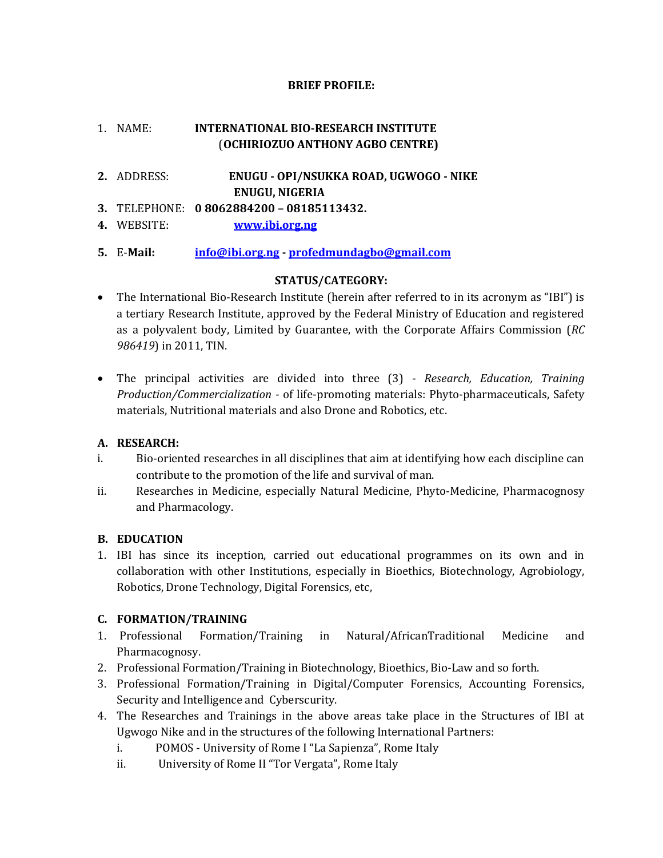# **BRIEF PROFILE:**

# 1. NAME: **INTERNATIONAL BIO-RESEARCH INSTITUTE** (**OCHIRIOZUO ANTHONY AGBO CENTRE)**

- **2.** ADDRESS: **ENUGU - OPI/NSUKKA ROAD, UGWOGO - NIKE ENUGU, NIGERIA**
- **3.** TELEPHONE: **0 8062884200 – 08185113432.**
- **4.** WEBSITE: **[www.ibi.org.ng](http://www.ibi.org.ng/)**
- **5.** E-**Mail: [info@ibi.org.ng](mailto:info@ibi.org.ng) - [profedmundagbo@gmail.com](mailto:profedmundagbo@gmail.com)**

# **STATUS/CATEGORY:**

- The International Bio-Research Institute (herein after referred to in its acronym as "IBI") is a tertiary Research Institute, approved by the Federal Ministry of Education and registered as a polyvalent body, Limited by Guarantee, with the Corporate Affairs Commission (*RC 986419*) in 2011, TIN.
- The principal activities are divided into three (3) *Research, Education, Training Production/Commercialization -* of life-promoting materials: Phyto-pharmaceuticals, Safety materials, Nutritional materials and also Drone and Robotics, etc.

# **A. RESEARCH:**

- i. Bio-oriented researches in all disciplines that aim at identifying how each discipline can contribute to the promotion of the life and survival of man.
- ii. Researches in Medicine, especially Natural Medicine, Phyto-Medicine, Pharmacognosy and Pharmacology.

# **B. EDUCATION**

1. IBI has since its inception, carried out educational programmes on its own and in collaboration with other Institutions, especially in Bioethics, Biotechnology, Agrobiology, Robotics, Drone Technology, Digital Forensics, etc,

# **C. FORMATION/TRAINING**

- 1. Professional Formation/Training in Natural/AfricanTraditional Medicine and Pharmacognosy.
- 2. Professional Formation/Training in Biotechnology, Bioethics, Bio-Law and so forth.
- 3. Professional Formation/Training in Digital/Computer Forensics, Accounting Forensics, Security and Intelligence and Cyberscurity.
- 4. The Researches and Trainings in the above areas take place in the Structures of IBI at Ugwogo Nike and in the structures of the following International Partners:
	- i. POMOS University of Rome I "La Sapienza", Rome Italy
	- ii. University of Rome II "Tor Vergata", Rome Italy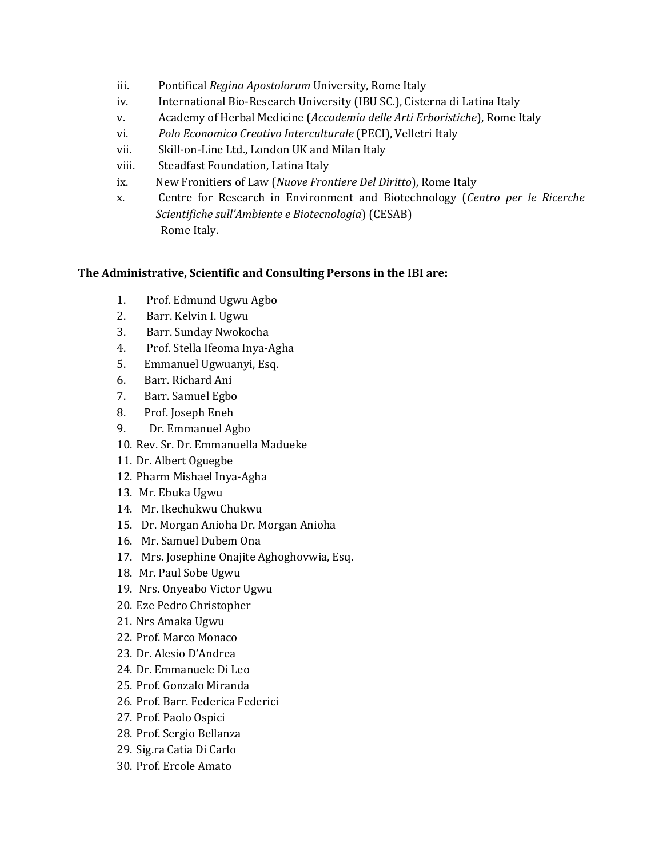- iii. Pontifical *Regina Apostolorum* University, Rome Italy
- iv. International Bio-Research University (IBU SC.), Cisterna di Latina Italy
- v. Academy of Herbal Medicine (*Accademia delle Arti Erboristiche*), Rome Italy
- vi. *Polo Economico Creativo Interculturale* (PECI), Velletri Italy
- vii. Skill-on-Line Ltd., London UK and Milan Italy
- viii. Steadfast Foundation, Latina Italy
- ix. New Fronitiers of Law (*Nuove Frontiere Del Diritto*), Rome Italy
- x. Centre for Research in Environment and Biotechnology (*Centro per le Ricerche Scientifiche sull'Ambiente e Biotecnologia*) (CESAB) Rome Italy.

# **The Administrative, Scientific and Consulting Persons in the IBI are:**

- 1. Prof. Edmund Ugwu Agbo
- 2. Barr. Kelvin I. Ugwu
- 3. Barr. Sunday Nwokocha
- 4. Prof. Stella Ifeoma Inya-Agha
- 5. Emmanuel Ugwuanyi, Esq.
- 6. Barr. Richard Ani
- 7. Barr. Samuel Egbo
- 8. Prof. Joseph Eneh
- 9. Dr. Emmanuel Agbo
- 10. Rev. Sr. Dr. Emmanuella Madueke
- 11. Dr. Albert Oguegbe
- 12. Pharm Mishael Inya-Agha
- 13. Mr. Ebuka Ugwu
- 14. Mr. Ikechukwu Chukwu
- 15. Dr. Morgan Anioha Dr. Morgan Anioha
- 16. Mr. Samuel Dubem Ona
- 17. Mrs. Josephine Onajite Aghoghovwia, Esq.
- 18. Mr. Paul Sobe Ugwu
- 19. Nrs. Onyeabo Victor Ugwu
- 20. Eze Pedro Christopher
- 21. Nrs Amaka Ugwu
- 22. Prof. Marco Monaco
- 23. Dr. Alesio D'Andrea
- 24. Dr. Emmanuele Di Leo
- 25. Prof. Gonzalo Miranda
- 26. Prof. Barr. Federica Federici
- 27. Prof. Paolo Ospici
- 28. Prof. Sergio Bellanza
- 29. Sig.ra Catia Di Carlo
- 30. Prof. Ercole Amato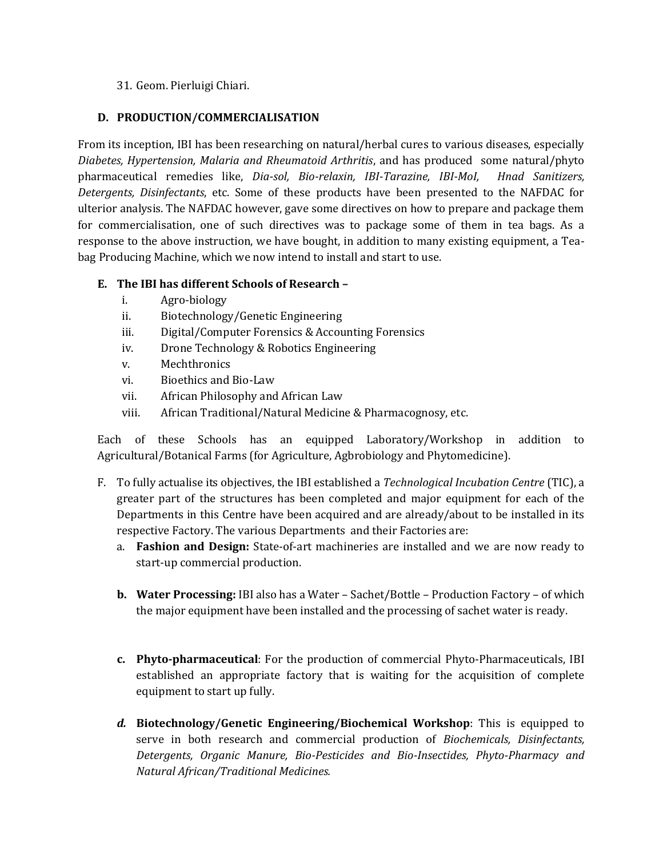# 31. Geom. Pierluigi Chiari.

# **D. PRODUCTION/COMMERCIALISATION**

From its inception, IBI has been researching on natural/herbal cures to various diseases, especially *Diabetes, Hypertension, Malaria and Rheumatoid Arthritis*, and has produced some natural/phyto pharmaceutical remedies like, *Dia-sol, Bio-relaxin, IBI-Tarazine, IBI-MoI, Hnad Sanitizers, Detergents, Disinfectants*, etc. Some of these products have been presented to the NAFDAC for ulterior analysis. The NAFDAC however, gave some directives on how to prepare and package them for commercialisation, one of such directives was to package some of them in tea bags. As a response to the above instruction, we have bought, in addition to many existing equipment, a Teabag Producing Machine, which we now intend to install and start to use.

# **E. The IBI has different Schools of Research –**

- i. Agro-biology
- ii. Biotechnology/Genetic Engineering
- iii. Digital/Computer Forensics & Accounting Forensics
- iv. Drone Technology & Robotics Engineering
- v. Mechthronics
- vi. Bioethics and Bio-Law
- vii. African Philosophy and African Law
- viii. African Traditional/Natural Medicine & Pharmacognosy, etc.

Each of these Schools has an equipped Laboratory/Workshop in addition to Agricultural/Botanical Farms (for Agriculture, Agbrobiology and Phytomedicine).

- F. To fully actualise its objectives, the IBI established a *Technological Incubation Centre* (TIC), a greater part of the structures has been completed and major equipment for each of the Departments in this Centre have been acquired and are already/about to be installed in its respective Factory. The various Departments and their Factories are:
	- a. **Fashion and Design:** State-of-art machineries are installed and we are now ready to start-up commercial production.
	- **b. Water Processing:** IBI also has a Water Sachet/Bottle Production Factory of which the major equipment have been installed and the processing of sachet water is ready.
	- **c. Phyto-pharmaceutical**: For the production of commercial Phyto-Pharmaceuticals, IBI established an appropriate factory that is waiting for the acquisition of complete equipment to start up fully.
	- *d.* **Biotechnology/Genetic Engineering/Biochemical Workshop**: This is equipped to serve in both research and commercial production of *Biochemicals, Disinfectants, Detergents, Organic Manure, Bio-Pesticides and Bio-Insectides, Phyto-Pharmacy and Natural African/Traditional Medicines.*